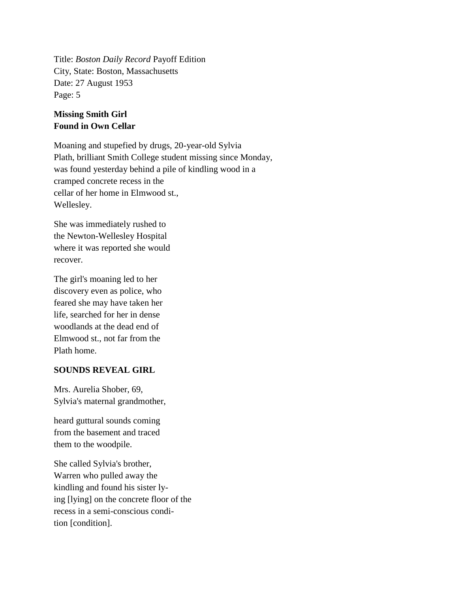Title: *Boston Daily Record* Payoff Edition City, State: Boston, Massachusetts Date: 27 August 1953 Page: 5

## **Missing Smith Girl Found in Own Cellar**

Moaning and stupefied by drugs, 20-year-old Sylvia Plath, brilliant Smith College student missing since Monday, was found yesterday behind a pile of kindling wood in a cramped concrete recess in the cellar of her home in Elmwood st., Wellesley.

She was immediately rushed to the Newton-Wellesley Hospital where it was reported she would recover.

The girl's moaning led to her discovery even as police, who feared she may have taken her life, searched for her in dense woodlands at the dead end of Elmwood st., not far from the Plath home.

## **SOUNDS REVEAL GIRL**

Mrs. Aurelia Shober, 69, Sylvia's maternal grandmother,

heard guttural sounds coming from the basement and traced them to the woodpile.

She called Sylvia's brother, Warren who pulled away the kindling and found his sister lying [lying] on the concrete floor of the recess in a semi-conscious condition [condition].